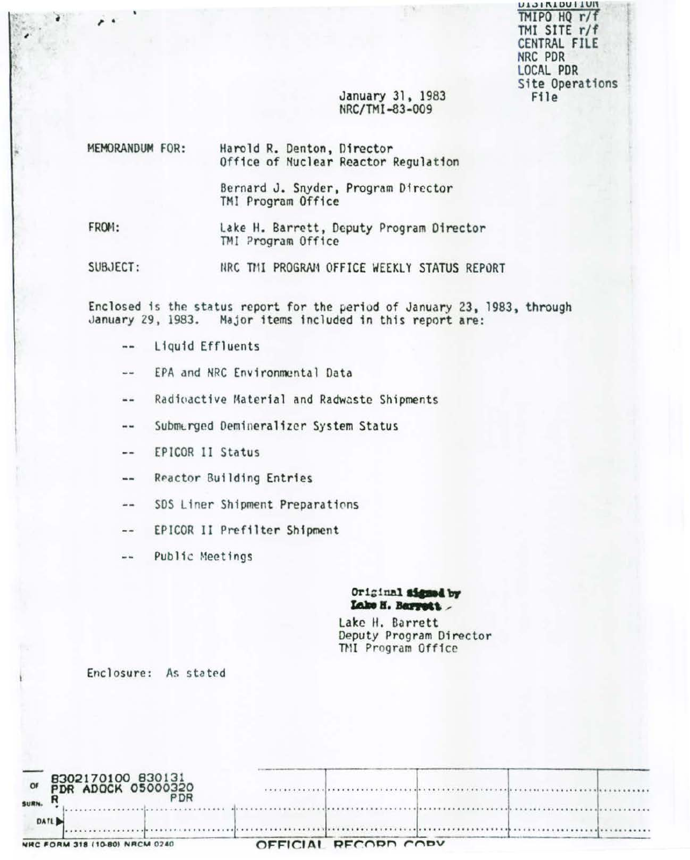TMIPO HQ r/f TMI SITE r/f CENTRAL FILE NRC PDR LOCAL PDR Site Operations File

#### January 31, 1983 NRC/TMI-83-009

| MEMORANDUM FOR: |  | Harold R. Denton, Director<br>Office of Nuclear Reactor Regulation |
|-----------------|--|--------------------------------------------------------------------|
|                 |  | Bernard J. Snyder, Program Director<br>TMI Program Office          |
| FROM:           |  | Lake H. Barrett, Deputy Program Director<br>TMI Program Office     |

SUBJECT: NRC THI PROGRAM OFFICE WEEKLY STATUS REPORT

Enclosed is the status report for the period of January 23, 1983, through January 29, 1983. Major items included in this report are:

- $\blacksquare$ Liquid Effluents
- EPA and NRC Environmental Data  $\sim$  4
- Radioactive Material and Radwaste Shipments  $-1$
- Submerged Demineralizer System Status --
- EPICOR II Status --
- Reactor Building Entries  $\rightarrow$
- SDS Liner Shipment Preparations  $-1$
- EPICOR II Prefilter Shipment  $-1$
- Public Meetings  $\frac{1}{2}$

#### Original signed by Lake H. Barrett

Lake H. Barrett Deputy Program Director TMI Program Office

Enclosure: As stated

| DATL                    |                                         |  |  |  |
|-------------------------|-----------------------------------------|--|--|--|
| O <sub>f</sub><br>SURN. |                                         |  |  |  |
|                         | 8302170100 830131<br>PDR ADOCK 05000320 |  |  |  |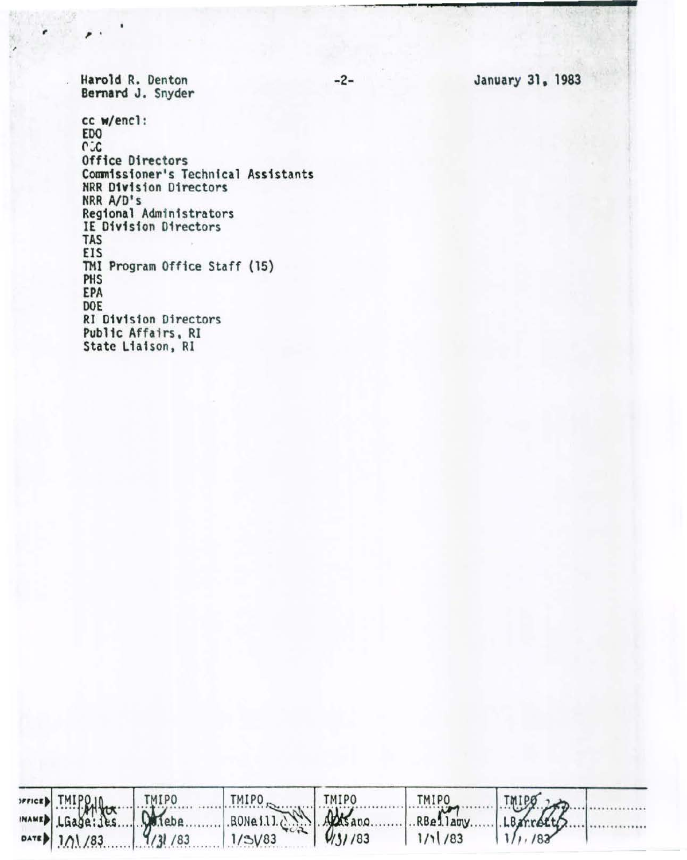January 31, 1983

Harold R. Denton Bernard J. Snyder

cc w/encl: **EDO CCC** Office Directors Commissioner's Technical Assistants<br>NRR Division Directors NRR A/D's Regional Administrators<br>IE Division Directors TAS EIS TMI Program Office Staff (15) PHS EPA DOE **RI Division Directors** Public Affairs, RI State Liaison, RI

|                              |                                                                              |        | RBellary LBarretts |
|------------------------------|------------------------------------------------------------------------------|--------|--------------------|
| $\sim$ 1/1/83 $\sim$ 1/3 /83 | PRIPER THIPPLIC THIPO THIPO<br>MAME LGase: Les Driebe BONe111. 2002 1/3/1/83 | 1/1/83 | $1/\nu$ , 183      |

 $-2-$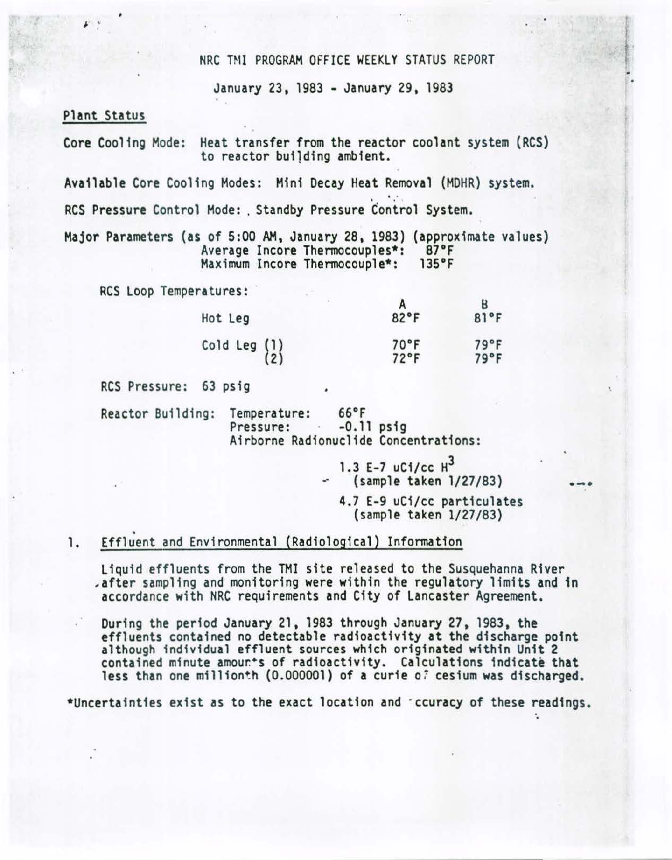### NRC TMI PROGRAM OFFICE WEEKLY STATUS REPORT

January 23, 1983 - January 29, 1983

### Plant Status

Core Cooling Mode: Heat transfer from the reactor coolant system (RCS) to reactor building ambient.

Available Core Cooling Modes: Mini Decay Heat Removal (MDHR) system.<br>RCS Pressure Control Mode: . Standby Pressure Control System.

Major Parameters (as of 5:00 AM. January 28. 1983) (approximate values) Average Incore Thermocouples\*: 87°F<br>Maximum Incore Thermocouple\*: 135°F Maximum Incore Thermocouple\*:

RCS Loop Temperatures:

| Hot Leg                                         | 82°F                   | 81°F         |
|-------------------------------------------------|------------------------|--------------|
| Cold Leg $\begin{pmatrix} 1 \\ 2 \end{pmatrix}$ | 70°F<br>$72^{\circ}$ F | 79°F<br>79°F |

RCS Pressure: 63 psig

Reactor Building: Temperature: 66°F<br>Pressure: -0.11 psig Airborne Radionuclide Concentrations:

> 1.3 E-7 uCi/cc  $H^3$ (sample taken l/27/83) 4.7 E-9 uCi/cc particulates (sample taken l/27/83)

### . 1. Effluent and Environmental (Radiological) Information

Liquid effluents from the TMI site released to the Susquehanna River ,after sampling and monitoring were within the regulatory limits and in accordance with NRC requirements and City of Lancaster Agreement.

During the period January 21, 1983 through January 27, 1983, the effluents contained no detectable radioactivity at the discharge pofnt although individual effluent sources which originated within Unit 2 contained minute amour\*s of radioactivity. Calculations indicate that less than one millionth (0.000001) of a curie *o7* cesium was discharged.

\*Uncertainties exist as to the exact location and · ccuracy of these readings.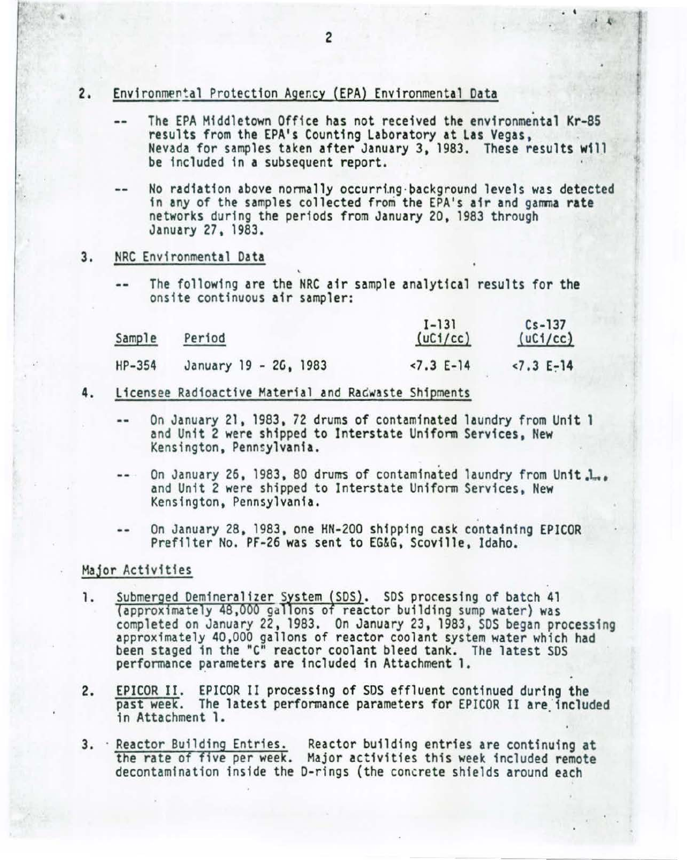- 2. Environmental Protection Agency (EPA) Environmental Data
	- The EPA Middletown Office has not received the environmental Kr-85  $\sim$ results from the EPA's Counting Laboratory at Las Vegas,<br>Nevada for samples taken after January 3, 1983. These results will be included in a subsequent report.

 $\overline{\phantom{a}}$ 

- No radiation above normally occurring background levels was detected in any of the samples collected from the EPA's air and gamma rate networks during the periods from January 20, 1983 through January 27, 1983.
- 3. NRC Environmental Data
	- The following are the NRC air sample analytical results for the onsite continuous air sampler:

| Sample | Period                | $1 - 131$<br>(uC1/cc) | $Cs - 137$<br>(uC1/cc) |
|--------|-----------------------|-----------------------|------------------------|
| HP-354 | January 19 - 26, 1983 | $< 7.3 E-14$          | $< 7.3 E-14$           |

- 4. Licensee Radioactive Material and Radwaste Shipments
	- On January 21, 1983 , 72 drums of contaminated laundry from Unit 1 and Unit 2 were shipped to Interstate Uniform Services, New Kensington, Pennsylvania.
	- On January 26, 1983, 80 drums of contaminated laundry from Unit. $\,_{\text{max}}$ <br>and Unit 2 were shipped to Interstate Uniform Services, New Kensington, Pennsylvania.
	- On January 28, 1983, one HN-200 shipping cask containing EPICOR Prefilter No. PF-26 was sent to EG&G, Scoville, Idaho.

### Major Activities

- 1. Submerged Demineralizer System (SDS). SDS processing of batch 41 (approximately 48,000 gallons of reactor building sump water) was completed on January 22 , 1983. On January 23, 1983, SOS began processing approximately 40,000 gallons of reactor coolant system water which had been staged in the "C" reactor coolant bleed tank. The latest SOS performance parameters are included in Attachment 1.
- 2. EPICOR II. EPICOR II processing of SDS effluent continued during the past week. The latest performance parameters for EPICOR II are 'included in Attachment 1.
- 3. Reactor Building Entries. Reactor building entries are continuing at the rate of five per week. Major activities this week included remote decontamination inside the 0-rings (the concrete shields around each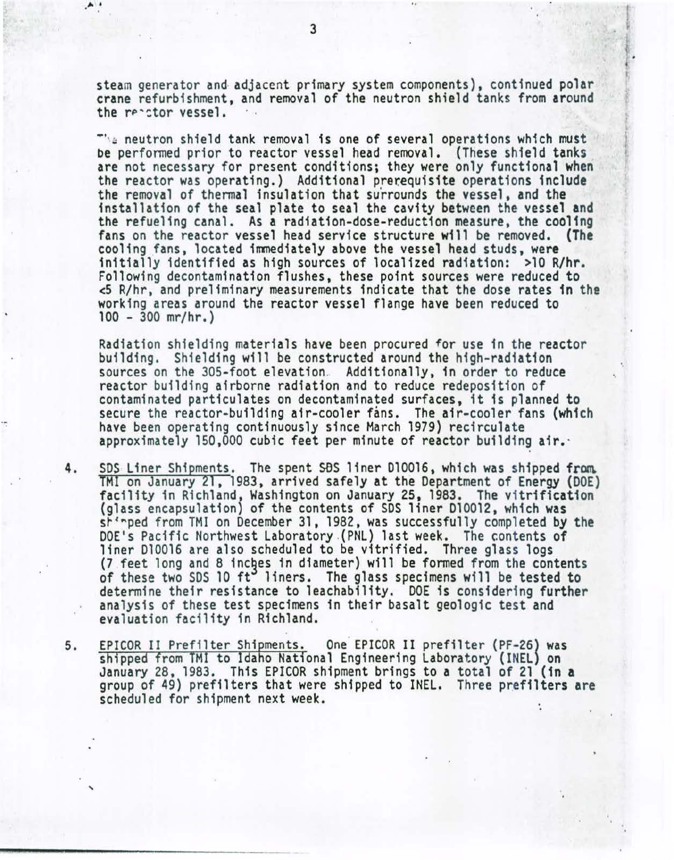steam generator and· adjacent primary system components}, continued polar crane refurbishment, and removal of the neutron shield tanks from around the reactor vessel.

The neutron shield tank removal is one of several operations which must be performed prior to reactor vessel head removal. (These shield tanks are not necessary for present conditions; they were only functional when the reactor was operating.) Additional prerequisite operations include the removal of thermal insulation that surrounds the vessel, and the installation of the seal plate to seal the cavity between the vessel and the refueling canal. As a radiation-dose-reduction measure, the cooling fans on the reactor vessel head service structure will be removed. (The cooling fans, located immediately above the vessel head studs, were initially identified as high sources of localized radiation: >10 R/hr. Following decontamination flushes, these point sources were reduced to <5 R/hr, and preliminary measurements indicate that the dose rates 1n the working areas around the reactor vessel flange have been reduced to 100- 300 mr/hr.}

Radiation shielding materials have been procured for use in the reactor building. Shielding will be constructed around the high-radiation sources on the 305-foot elevation. Additionally, in order to reduce reactor building airborne radiation and to reduce redeposition of contaminated particulates on decontaminated surfaces, it is planned to secure the reactor-building air-cooler fans. The air-cooler fans (which have been operating continuously since March 1979) recirculate approximately 150,000 cubic feet per minute of reactor building air.

- 4. SDS Liner Shipments. The spent SDS liner D10016, which was shipped from TMI on January 21, 1983, arrived safely at the Department of Energy (DOE) facility in Richland, Washington on January 25, 1983. The vitrification (glass encapsulation} of the contents of SDS liner D10012, which was sh'rped from TMI on December 31, 1982, was successfully completed by the DOE's Pacific Northwest Laboratory (PNL) last week. The contents of<br>liner D10016 are also scheduled to be vitrified. Three glass logs (7 feet long and 8 inches in diameter) will be formed from the contents of these two SDS 10 ft<sup>o</sup> liners. The glass specimens will be tested to determine their resistance to leachability. DOE is considering further analysis of these test specimens in their basalt geologic test and evaluation facility in Richland.
- 5. EPICOR II Prefilter Shipments. One EPICOR II prefilter (PF-26) was shipped from TMI to Idaho National Engineering Laboratory (INEL) on January 28, 1983. This EPICOR shipment brings to a total of 21 {in a group of 49) prefilters that were shipped to INEL. Three prefilters are scheduled for shipment next week.

 $\ddot{\phantom{a}}$ 

....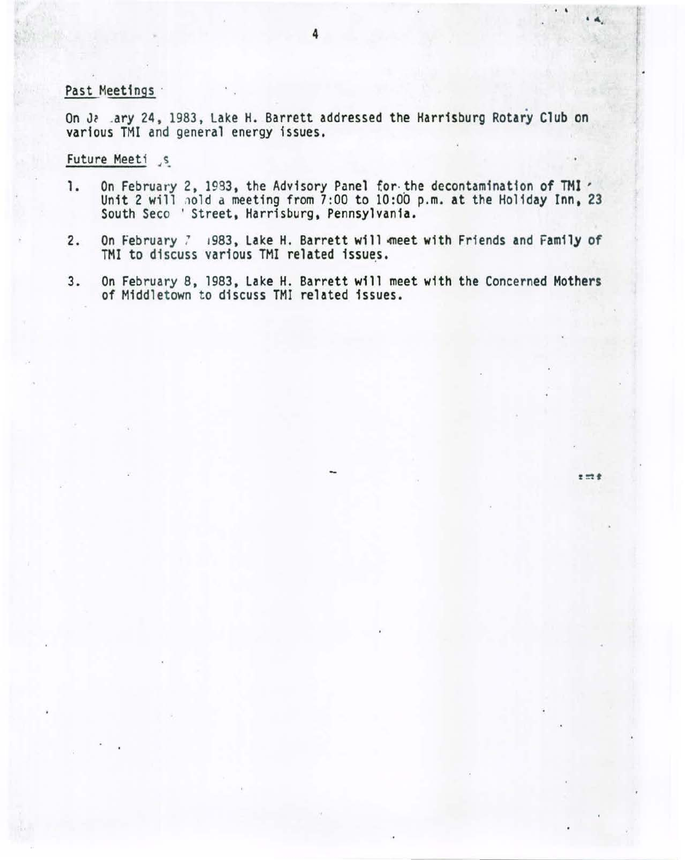### Past Meetings ·

On Ja .ary 24, 1983, Lake H. Barrett addressed the Harrisburg Rotary Club on various TMI and general energy issues.

Future Meeti<sub>s</sub>

- 1. On February 2, 1983, the Advisory Panel for the decontamination of TMI ' Unit 2 will nold a meeting from 7:00 to 10:00 p.m. at the Holiday Inn, 23 South Seco ' Street, Harrisburg, Pennsylvania.
- 2. On February 7 1983, Lake H. Barrett will meet with Friends and Family of TMI to discuss various TMI related issues.
- 3. On February 8, 1983, Lake H. Barrett will meet with the Concerned Mothers of Middletown to discuss TMI related issues.

 $\cdot$   $\cdot$   $\cdot$   $\cdot$ 

 $z = t$